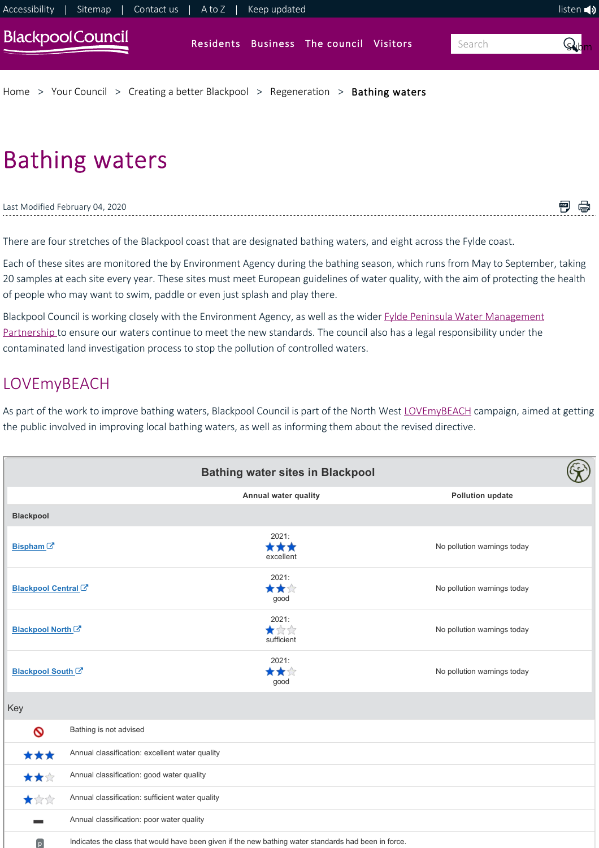

# Bathing waters

Last Modified February 04, 2020

There are four stretches of the Blackpool coast that are designated bathing waters, and eight across the Fylde coast.

Each of these sites are monitored the by Environment Agency during the bathing season, which runs from May to September, taking 20 samples at each site every year. These sites must meet European guidelines of water quality, with the aim of protecting the health of people who may want to swim, paddle or even just splash and play there.

■ ●

[Blackpool Council is working closely with the Environment Agency, as well as the wider Fylde Peninsula Water Management](https://www.blackpool.gov.uk/Your-Council/Creating-a-better-Blackpool/Regeneration/Coastal-and-water-improvements/Fylde-peninsula-water-management.aspx) Partnership to ensure our waters continue to meet the new standards. The council also has a legal responsibility under the contaminated land investigation process to stop the pollution of controlled waters.

# LOVEmyBEACH

As part of the work to improve bathing waters, Blackpool Council is part of the North West [LOVEmyBEACH](http://lovemybeach.org/) campaign, aimed at getting the public involved in improving local bathing waters, as well as informing them about the revised directive.

|                                |                                                                                                      | <b>Bathing water sites in Blackpool</b> |                             |
|--------------------------------|------------------------------------------------------------------------------------------------------|-----------------------------------------|-----------------------------|
|                                |                                                                                                      | Annual water quality                    | <b>Pollution update</b>     |
| <b>Blackpool</b>               |                                                                                                      |                                         |                             |
| Bispham <sup>C</sup>           |                                                                                                      | 2021:<br>***<br>excellent               | No pollution warnings today |
| Blackpool Central <sup>C</sup> |                                                                                                      | 2021:<br>***<br>good                    | No pollution warnings today |
| Blackpool North <sup>C</sup>   |                                                                                                      | 2021:<br>★☆☆<br>sufficient              | No pollution warnings today |
| Blackpool South <sup>C</sup>   |                                                                                                      | 2021:<br>★★☆<br>good                    | No pollution warnings today |
| Key                            |                                                                                                      |                                         |                             |
| Ø                              | Bathing is not advised                                                                               |                                         |                             |
| ***                            | Annual classification: excellent water quality                                                       |                                         |                             |
| ★★☆                            | Annual classification: good water quality                                                            |                                         |                             |
| 大众众                            | Annual classification: sufficient water quality                                                      |                                         |                             |
| <b>Contract</b>                | Annual classification: poor water quality                                                            |                                         |                             |
| $\boxed{p}$                    | Indicates the class that would have been given if the new bathing water standards had been in force. |                                         |                             |